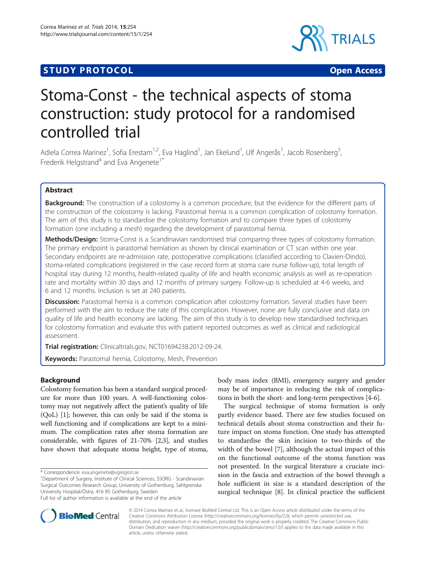## **STUDY PROTOCOL CONSUMING THE CONSUMING OPEN ACCESS**



# Stoma-Const - the technical aspects of stoma construction: study protocol for a randomised controlled trial

Adiela Correa Marinez<sup>1</sup>, Sofia Erestam<sup>1,2</sup>, Eva Haglind<sup>1</sup>, Jan Ekelund<sup>1</sup>, Ulf Angerås<sup>1</sup>, Jacob Rosenberg<sup>3</sup> , Frederik Helgstrand<sup>4</sup> and Eva Angenete<sup>1\*</sup>

## Abstract

Background: The construction of a colostomy is a common procedure, but the evidence for the different parts of the construction of the colostomy is lacking. Parastomal hernia is a common complication of colostomy formation. The aim of this study is to standardise the colostomy formation and to compare three types of colostomy formation (one including a mesh) regarding the development of parastomal hernia.

Methods/Design: Stoma-Const is a Scandinavian randomised trial comparing three types of colostomy formation. The primary endpoint is parastomal herniation as shown by clinical examination or CT scan within one year. Secondary endpoints are re-admission rate, postoperative complications (classified according to Clavien-Dindo), stoma-related complications (registered in the case record form at stoma care nurse follow-up), total length of hospital stay during 12 months, health-related quality of life and health economic analysis as well as re-operation rate and mortality within 30 days and 12 months of primary surgery. Follow-up is scheduled at 4-6 weeks, and 6 and 12 months. Inclusion is set at 240 patients.

Discussion: Parastomal hernia is a common complication after colostomy formation. Several studies have been performed with the aim to reduce the rate of this complication. However, none are fully conclusive and data on quality of life and health economy are lacking. The aim of this study is to develop new standardised techniques for colostomy formation and evaluate this with patient reported outcomes as well as clinical and radiological assessment.

Trial registration: Clinicaltrials.gov, [NCT01694238](http://clinicaltrials.gov/ct2/show/NCT01694238).2012-09-24.

Keywords: Parastomal hernia, Colostomy, Mesh, Prevention

## Background

Colostomy formation has been a standard surgical procedure for more than 100 years. A well-functioning colostomy may not negatively affect the patient's quality of life (QoL) [[1\]](#page-5-0); however, this can only be said if the stoma is well functioning and if complications are kept to a minimum. The complication rates after stoma formation are considerable, with figures of 21-70% [\[2,3](#page-5-0)], and studies have shown that adequate stoma height, type of stoma,

\* Correspondence: [eva.angenete@vgregion.se](mailto:eva.angenete@vgregion.se) <sup>1</sup>

Department of Surgery, Institute of Clinical Sciences, SSORG - Scandinavian Surgical Outcomes Research Group, University of Gothenburg, Sahlgrenska University Hospital/Östra, 416 85 Gothenburg, Sweden Full list of author information is available at the end of the article

body mass index (BMI), emergency surgery and gender may be of importance in reducing the risk of complications in both the short- and long-term perspectives [\[4](#page-5-0)-[6\]](#page-5-0).

The surgical technique of stoma formation is only partly evidence based. There are few studies focused on technical details about stoma construction and their future impact on stoma function. One study has attempted to standardise the skin incision to two-thirds of the width of the bowel [\[7](#page-5-0)], although the actual impact of this on the functional outcome of the stoma function was not presented. In the surgical literature a cruciate incision in the fascia and extraction of the bowel through a hole sufficient in size is a standard description of the surgical technique [[8\]](#page-5-0). In clinical practice the sufficient



© 2014 Correa Marinez et al.; licensee BioMed Central Ltd. This is an Open Access article distributed under the terms of the Creative Commons Attribution License (<http://creativecommons.org/licenses/by/2.0>), which permits unrestricted use, distribution, and reproduction in any medium, provided the original work is properly credited. The Creative Commons Public Domain Dedication waiver [\(http://creativecommons.org/publicdomain/zero/1.0/\)](http://creativecommons.org/publicdomain/zero/1.0/) applies to the data made available in this article, unless otherwise stated.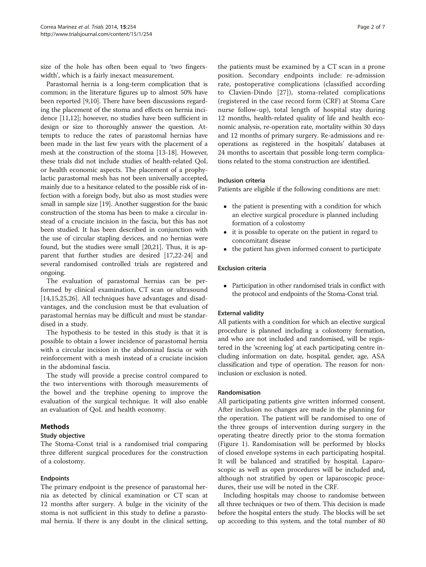size of the hole has often been equal to 'two fingerswidth', which is a fairly inexact measurement.

Parastomal hernia is a long-term complication that is common; in the literature figures up to almost 50% have been reported [\[9,10](#page-5-0)]. There have been discussions regarding the placement of the stoma and effects on hernia incidence [\[11,12\]](#page-5-0); however, no studies have been sufficient in design or size to thoroughly answer the question. Attempts to reduce the rates of parastomal hernias have been made in the last few years with the placement of a mesh at the construction of the stoma [[13](#page-5-0)-[18](#page-5-0)]. However, these trials did not include studies of health-related QoL or health economic aspects. The placement of a prophylactic parastomal mesh has not been universally accepted, mainly due to a hesitance related to the possible risk of infection with a foreign body, but also as most studies were small in sample size [\[19](#page-5-0)]. Another suggestion for the basic construction of the stoma has been to make a circular instead of a cruciate incision in the fascia, but this has not been studied. It has been described in conjunction with the use of circular stapling devices, and no hernias were found, but the studies were small [\[20,21\]](#page-5-0). Thus, it is apparent that further studies are desired [\[17,22-24\]](#page-5-0) and several randomised controlled trials are registered and ongoing.

The evaluation of parastomal hernias can be performed by clinical examination, CT scan or ultrasound [[14,15,25,26\]](#page-5-0). All techniques have advantages and disadvantages, and the conclusion must be that evaluation of parastomal hernias may be difficult and must be standardised in a study.

The hypothesis to be tested in this study is that it is possible to obtain a lower incidence of parastomal hernia with a circular incision in the abdominal fascia or with reinforcement with a mesh instead of a cruciate incision in the abdominal fascia.

The study will provide a precise control compared to the two interventions with thorough measurements of the bowel and the trephine opening to improve the evaluation of the surgical technique. It will also enable an evaluation of QoL and health economy.

## Methods

## Study objective

The Stoma-Const trial is a randomised trial comparing three different surgical procedures for the construction of a colostomy.

## Endpoints

The primary endpoint is the presence of parastomal hernia as detected by clinical examination or CT scan at 12 months after surgery. A bulge in the vicinity of the stoma is not sufficient in this study to define a parastomal hernia. If there is any doubt in the clinical setting,

the patients must be examined by a CT scan in a prone position. Secondary endpoints include: re-admission rate, postoperative complications (classified according to Clavien-Dindo [[27\]](#page-5-0)), stoma-related complications (registered in the case record form (CRF) at Stoma Care nurse follow-up), total length of hospital stay during 12 months, health-related quality of life and health economic analysis, re-operation rate, mortality within 30 days and 12 months of primary surgery. Re-admissions and reoperations as registered in the hospitals' databases at 24 months to ascertain that possible long-term complications related to the stoma construction are identified.

#### Inclusion criteria

Patients are eligible if the following conditions are met:

- $\bullet$  the patient is presenting with a condition for which an elective surgical procedure is planned including formation of a colostomy
- it is possible to operate on the patient in regard to concomitant disease
- the patient has given informed consent to participate

## Exclusion criteria

 Participation in other randomised trials in conflict with the protocol and endpoints of the Stoma-Const trial.

## External validity

All patients with a condition for which an elective surgical procedure is planned including a colostomy formation, and who are not included and randomised, will be registered in the 'screening log' at each participating centre including information on date, hospital, gender, age, ASA classification and type of operation. The reason for noninclusion or exclusion is noted.

#### Randomisation

All participating patients give written informed consent. After inclusion no changes are made in the planning for the operation. The patient will be randomised to one of the three groups of intervention during surgery in the operating theatre directly prior to the stoma formation (Figure [1](#page-2-0)). Randomisation will be performed by blocks of closed envelope systems in each participating hospital. It will be balanced and stratified by hospital. Laparoscopic as well as open procedures will be included and, although not stratified by open or laparoscopic procedures, their use will be noted in the CRF.

Including hospitals may choose to randomise between all three techniques or two of them. This decision is made before the hospital enters the study. The blocks will be set up according to this system, and the total number of 80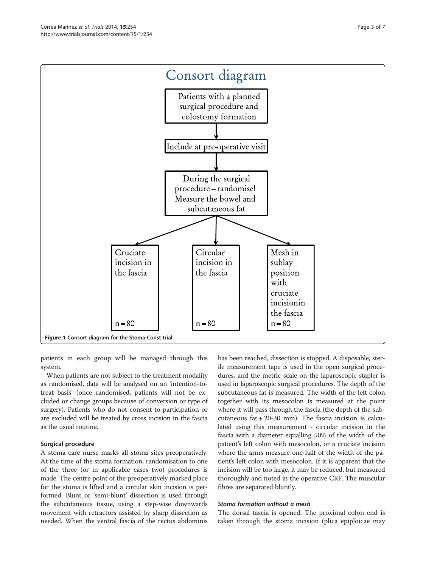<span id="page-2-0"></span>

patients in each group will be managed through this system.

When patients are not subject to the treatment modality as randomised, data will be analysed on an 'intention-totreat basis' (once randomised, patients will not be excluded or change groups because of conversion or type of surgery). Patients who do not consent to participation or are excluded will be treated by cross incision in the fascia as the usual routine.

## Surgical procedure

A stoma care nurse marks all stoma sites preoperatively. At the time of the stoma formation, randomisation to one of the three (or in applicable cases two) procedures is made. The centre point of the preoperatively marked place for the stoma is lifted and a circular skin incision is performed. Blunt or 'semi-blunt' dissection is used through the subcutaneous tissue, using a step-wise downwards movement with retractors assisted by sharp dissection as needed. When the ventral fascia of the rectus abdominis has been reached, dissection is stopped. A disposable, sterile measurement tape is used in the open surgical procedures, and the metric scale on the laparoscopic stapler is used in laparoscopic surgical procedures. The depth of the subcutaneous fat is measured. The width of the left colon together with its mesocolon is measured at the point where it will pass through the fascia (the depth of the subcutaneous fat + 20-30 mm). The fascia incision is calculated using this measurement - circular incision in the fascia with a diameter equalling 50% of the width of the patient's left colon with mesocolon, or a cruciate incision where the arms measure one-half of the width of the patient's left colon with mesocolon. If it is apparent that the incision will be too large, it may be reduced, but measured thoroughly and noted in the operative CRF. The muscular fibres are separated bluntly.

#### Stoma formation without a mesh

The dorsal fascia is opened. The proximal colon end is taken through the stoma incision (plica epiploicae may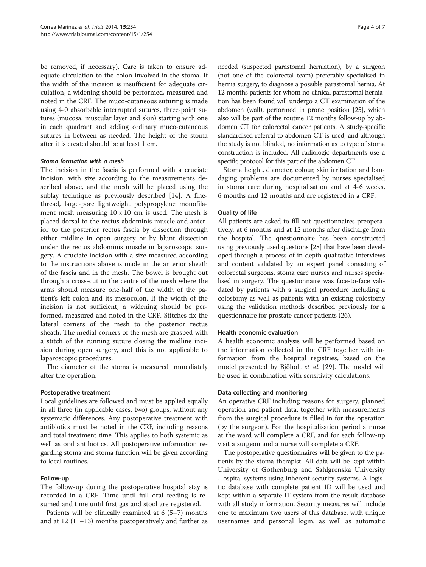be removed, if necessary). Care is taken to ensure adequate circulation to the colon involved in the stoma. If the width of the incision is insufficient for adequate circulation, a widening should be performed, measured and noted in the CRF. The muco-cutaneous suturing is made using 4-0 absorbable interrupted sutures, three-point sutures (mucosa, muscular layer and skin) starting with one in each quadrant and adding ordinary muco-cutaneous sutures in between as needed. The height of the stoma after it is created should be at least 1 cm.

#### Stoma formation with a mesh

The incision in the fascia is performed with a cruciate incision, with size according to the measurements described above, and the mesh will be placed using the sublay technique as previously described [[14](#page-5-0)]. A finethread, large-pore lightweight polypropylene monofilament mesh measuring  $10 \times 10$  cm is used. The mesh is placed dorsal to the rectus abdominis muscle and anterior to the posterior rectus fascia by dissection through either midline in open surgery or by blunt dissection under the rectus abdominis muscle in laparoscopic surgery. A cruciate incision with a size measured according to the instructions above is made in the anterior sheath of the fascia and in the mesh. The bowel is brought out through a cross-cut in the centre of the mesh where the arms should measure one-half of the width of the patient's left colon and its mesocolon. If the width of the incision is not sufficient, a widening should be performed, measured and noted in the CRF. Stitches fix the lateral corners of the mesh to the posterior rectus sheath. The medial corners of the mesh are grasped with a stitch of the running suture closing the midline incision during open surgery, and this is not applicable to laparoscopic procedures.

The diameter of the stoma is measured immediately after the operation.

#### Postoperative treatment

Local guidelines are followed and must be applied equally in all three (in applicable cases, two) groups, without any systematic differences. Any postoperative treatment with antibiotics must be noted in the CRF, including reasons and total treatment time. This applies to both systemic as well as oral antibiotics. All postoperative information regarding stoma and stoma function will be given according to local routines.

## Follow-up

The follow-up during the postoperative hospital stay is recorded in a CRF. Time until full oral feeding is resumed and time until first gas and stool are registered.

Patients will be clinically examined at 6 (5–7) months and at 12 (11–13) months postoperatively and further as

needed (suspected parastomal herniation), by a surgeon (not one of the colorectal team) preferably specialised in hernia surgery, to diagnose a possible parastomal hernia. At 12 months patients for whom no clinical parastomal herniation has been found will undergo a CT examination of the abdomen (wall), performed in prone position [\[25\]](#page-5-0), which also will be part of the routine 12 months follow-up by abdomen CT for colorectal cancer patients. A study-specific standardised referral to abdomen CT is used, and although the study is not blinded, no information as to type of stoma construction is included. All radiologic departments use a specific protocol for this part of the abdomen CT.

Stoma height, diameter, colour, skin irritation and bandaging problems are documented by nurses specialised in stoma care during hospitalisation and at 4-6 weeks, 6 months and 12 months and are registered in a CRF.

## Quality of life

All patients are asked to fill out questionnaires preoperatively, at 6 months and at 12 months after discharge from the hospital. The questionnaire has been constructed using previously used questions [\[28](#page-5-0)] that have been developed through a process of in-depth qualitative interviews and content validated by an expert panel consisting of colorectal surgeons, stoma care nurses and nurses specialised in surgery. The questionnaire was face-to-face validated by patients with a surgical procedure including a colostomy as well as patients with an existing colostomy using the validation methods described previously for a questionnaire for prostate cancer patients (26).

## Health economic evaluation

A health economic analysis will be performed based on the information collected in the CRF together with information from the hospital registries, based on the model presented by Bjöholt et al. [[29\]](#page-5-0). The model will be used in combination with sensitivity calculations.

## Data collecting and monitoring

An operative CRF including reasons for surgery, planned operation and patient data, together with measurements from the surgical procedure is filled in for the operation (by the surgeon). For the hospitalisation period a nurse at the ward will complete a CRF, and for each follow-up visit a surgeon and a nurse will complete a CRF.

The postoperative questionnaires will be given to the patients by the stoma therapist. All data will be kept within University of Gothenburg and Sahlgrenska University Hospital systems using inherent security systems. A logistic database with complete patient ID will be used and kept within a separate IT system from the result database with all study information. Security measures will include one to maximum two users of this database, with unique usernames and personal login, as well as automatic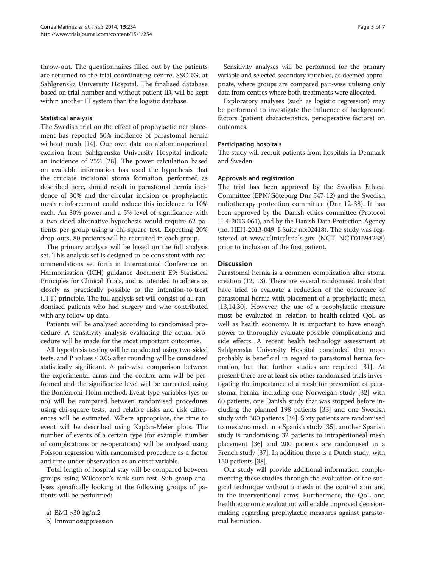throw-out. The questionnaires filled out by the patients are returned to the trial coordinating centre, SSORG, at Sahlgrenska University Hospital. The finalised database based on trial number and without patient ID, will be kept within another IT system than the logistic database.

#### Statistical analysis

The Swedish trial on the effect of prophylactic net placement has reported 50% incidence of parastomal hernia without mesh [[14\]](#page-5-0). Our own data on abdominoperineal excision from Sahlgrenska University Hospital indicate an incidence of 25% [[28\]](#page-5-0). The power calculation based on available information has used the hypothesis that the cruciate incisional stoma formation, performed as described here, should result in parastomal hernia incidence of 30% and the circular incision or prophylactic mesh reinforcement could reduce this incidence to 10% each. An 80% power and a 5% level of significance with a two-sided alternative hypothesis would require 62 patients per group using a chi-square test. Expecting 20% drop-outs, 80 patients will be recruited in each group.

The primary analysis will be based on the full analysis set. This analysis set is designed to be consistent with recommendations set forth in International Conference on Harmonisation (ICH) guidance document E9: Statistical Principles for Clinical Trials, and is intended to adhere as closely as practically possible to the intention-to-treat (ITT) principle. The full analysis set will consist of all randomised patients who had surgery and who contributed with any follow-up data.

Patients will be analysed according to randomised procedure. A sensitivity analysis evaluating the actual procedure will be made for the most important outcomes.

All hypothesis testing will be conducted using two-sided tests, and P values  $\leq 0.05$  after rounding will be considered statistically significant. A pair-wise comparison between the experimental arms and the control arm will be performed and the significance level will be corrected using the Bonferroni-Holm method. Event-type variables (yes or no) will be compared between randomised procedures using chi-square tests, and relative risks and risk differences will be estimated. Where appropriate, the time to event will be described using Kaplan-Meier plots. The number of events of a certain type (for example, number of complications or re-operations) will be analysed using Poisson regression with randomised procedure as a factor and time under observation as an offset variable.

Total length of hospital stay will be compared between groups using Wilcoxon's rank-sum test. Sub-group analyses specifically looking at the following groups of patients will be performed:

a) BMI >30 kg/m2

b) Immunosuppression

Sensitivity analyses will be performed for the primary variable and selected secondary variables, as deemed appropriate, where groups are compared pair-wise utilising only data from centres where both treatments were allocated.

Exploratory analyses (such as logistic regression) may be performed to investigate the influence of background factors (patient characteristics, perioperative factors) on outcomes.

#### Participating hospitals

The study will recruit patients from hospitals in Denmark and Sweden.

#### Approvals and registration

The trial has been approved by the Swedish Ethical Committee (EPN/Göteborg Dnr 547-12) and the Swedish radiotherapy protection committee (Dnr 12-38). It has been approved by the Danish ethics committee (Protocol H-4-2013-061), and by the Danish Data Protection Agency (no. HEH-2013-049, I-Suite no:02418). The study was registered at [www.clinicaltrials.gov](http://www.clinicaltrials.gov/) (NCT NCT01694238) prior to inclusion of the first patient.

## **Discussion**

Parastomal hernia is a common complication after stoma creation (12, 13). There are several randomised trials that have tried to evaluate a reduction of the occurence of parastomal hernia with placement of a prophylactic mesh [[13](#page-5-0),[14](#page-5-0)[,30\]](#page-6-0). However, the use of a prophylactic measure must be evaluated in relation to health-related QoL as well as health economy. It is important to have enough power to thoroughly evaluate possible complications and side effects. A recent health technology assessment at Sahlgrenska University Hospital concluded that mesh probably is beneficial in regard to parastomal hernia formation, but that further studies are required [\[31\]](#page-6-0). At present there are at least six other randomised trials investigating the importance of a mesh for prevention of parastomal hernia, including one Norweigan study [\[32\]](#page-6-0) with 60 patients, one Danish study that was stopped before including the planned 198 patients [\[33](#page-6-0)] and one Swedish study with 300 patients [\[34\]](#page-6-0). Sixty patients are randomised to mesh/no mesh in a Spanish study [\[35\]](#page-6-0), another Spanish study is randomising 32 patients to intraperitoneal mesh placement [[36](#page-6-0)] and 200 patients are randomised in a French study [[37](#page-6-0)]. In addition there is a Dutch study, with 150 patients [\[38\]](#page-6-0).

Our study will provide additional information complementing these studies through the evaluation of the surgical technique without a mesh in the control arm and in the interventional arms. Furthermore, the QoL and health economic evaluation will enable improved decisionmaking regarding prophylactic measures against parastomal herniation.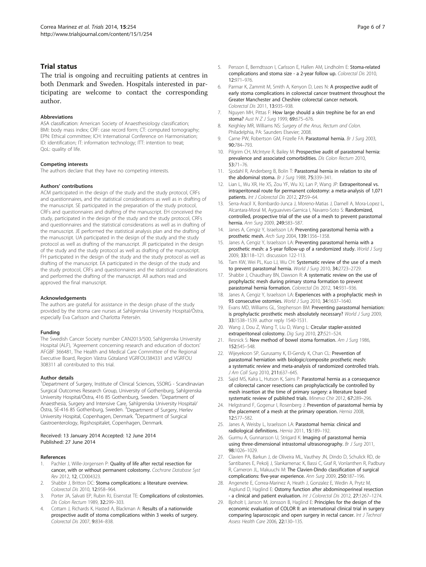## <span id="page-5-0"></span>Trial status

The trial is ongoing and recruiting patients at centres in both Denmark and Sweden. Hospitals interested in participating are welcome to contact the corresponding author.

#### Abbreviations

ASA classification: American Society of Anaesthesiology classification; BMI: body mass index; CRF: case record form; CT: computed tomography; EPN: Ethical committee; ICH: International Conference on Harmonisation; ID: identification; IT: information technology; ITT: intention to treat; QoL: quality of life.

#### Competing interests

The authors declare that they have no competing interests.

#### Authors' contributions

ACM participated in the design of the study and the study protocol, CRFs and questionnaires, and the statistical considerations as well as in drafting of the manuscript. SE participated in the preparation of the study protocol, CRFs and questionnaires and drafting of the manuscript. EH conceived the study, participated in the design of the study and the study protocol, CRFs and questionnaires and the statistical considerations as well as in drafting of the manuscript. JE performed the statistical analysis plan and the drafting of the manuscript. UA participated in the design of the study and the study protocol as well as drafting of the manuscript. JR participated in the design of the study and the study protocol as well as drafting of the manuscript. FH participated in the design of the study and the study protocol as well as drafting of the manuscript. EA participated in the design of the study and the study protocol, CRFs and questionnaires and the statistical considerations and performed the drafting of the manuscript. All authors read and approved the final manuscript.

#### Acknowledgements

The authors are grateful for assistance in the design phase of the study provided by the stoma care nurses at Sahlgrenska University Hospital/Östra, especially Eva Carlsson and Charlotta Petersén.

#### Funding

The Swedish Cancer Society number CAN2013/500, Sahlgrenska University Hospital (ALF), 'Agreement concerning research and education of doctors' AFGBF 366481, The Health and Medical Care Committee of the Regional Executive Board, Region Västra Götaland VGRFOU384331 and VGRFOU 308311 all contributed to this trial.

#### Author details

<sup>1</sup>Department of Surgery, Institute of Clinical Sciences, SSORG - Scandinavian Surgical Outcomes Research Group, University of Gothenburg, Sahlgrenska University Hospital/Östra, 416 85 Gothenburg, Sweden. <sup>2</sup>Department of Anaesthesia, Surgery and Intensive Care, Sahlgrenska University Hospital/ Östra, SE-416 85 Gothenburg, Sweden. <sup>3</sup>Department of Surgery, Herlev University Hospital, Copenhagen, Denmark. <sup>4</sup> Department of Surgical Gastroenterology, Rigshospitalet, Copenhagen, Denmark.

#### Received: 13 January 2014 Accepted: 12 June 2014 Published: 27 June 2014

#### References

- Pachler J, Wille-Jorgensen P: Quality of life after rectal resection for cancer, with or without permanent colostomy. Cochrane Database Syst Rev 2012, 12, CD004323.
- 2. Shabbir J, Britton DC: Stoma complications: a literature overview. Colorectal Dis 2010, 12:958–964.
- 3. Porter JA, Salvati EP, Rubin RJ, Eisenstat TE: Complications of colostomies. Dis Colon Rectum 1989, 32:299–303.
- 4. Cottam J, Richards K, Hasted A, Blackman A: Results of a nationwide prospective audit of stoma complications within 3 weeks of surgery. Colorectal Dis 2007, 9:834–838.
- Persson E, Berndtsson I, Carlsson E, Hallen AM, Lindholm E: Stoma-related complications and stoma size - a 2-year follow up. Colorectal Dis 2010, 12:971–976.
- 6. Parmar K, Zammit M, Smith A, Kenyon D, Lees N: A prospective audit of early stoma complications in colorectal cancer treatment throughout the Greater Manchester and Cheshire colorectal cancer network. Colorectal Dis 2011, 13:935–938.
- 7. Nguyen MH, Pittas F: How large should a skin trephine be for an end stoma? Aust N Z J Surg 1999, 69:675-676.
- 8. Keighley MR, Williams NS: Surgery of the Anus, Rectum and Colon. Philadelphia, PA: Saunders Elsevier; 2008.
- 9. Carne PW, Robertson GM, Frizelle FA: Parastomal hernia. Br J Sura 2003. 90:784–793.
- 10. Pilgrim CH, McIntyre R, Bailey M: Prospective audit of parastomal hernia: prevalence and associated comorbidities. Dis Colon Rectum 2010, 53:71–76.
- 11. Sjodahl R, Anderberg B, Bolin T: Parastomal hernia in relation to site of the abdominal stoma. Br J Surg 1988, 75:339-341
- 12. Lian L, Wu XR, He XS, Zou YF, Wu XJ, Lan P, Wang JP: Extraperitoneal vs. intraperitoneal route for permanent colostomy: a meta-analysis of 1,071 patients. Int J Colorectal Dis 2012, 27:59-64.
- 13. Serra-Aracil X, Bombardo-Junca J, Moreno-Matias J, Darnell A, Mora-Lopez L, Alcantara-Moral M, Ayguavives-Garnica I, Navarro-Soto S: Randomized, controlled, prospective trial of the use of a mesh to prevent parastomal hernia. Ann Surg 2009, 249:583–587.
- 14. Janes A, Cengiz Y, Israelsson LA: Preventing parastomal hernia with a prosthetic mesh. Arch Surg 2004, 139:1356–1358.
- 15. Janes A, Cengiz Y, Israelsson LA: Preventing parastomal hernia with a prosthetic mesh: a 5-year follow-up of a randomized study. World J Surg 2009, 33:118–121. discussion 122-113.
- 16. Tam KW, Wei PL, Kuo LJ, Wu CH: Systematic review of the use of a mesh to prevent parastomal hernia. World J Surg 2010, 34:2723–2729.
- 17. Shabbir J, Chaudhary BN, Dawson R: A systematic review on the use of prophylactic mesh during primary stoma formation to prevent parastomal hernia formation. Colorectal Dis 2012, 14:931–936.
- Janes A, Cengiz Y, Israelsson LA: Experiences with a prophylactic mesh in 93 consecutive ostomies. World J Surg 2010, 34:1637-1640.
- 19. Evans MD, Williams GL, Stephenson BM: Preventing parastomal herniation: is prophylactic prosthetic mesh absolutely necessary? World J Surg 2009, 33:1538–1539. author reply 1540-1531.
- 20. Wang J, Dou Z, Wang T, Liu D, Wang L: Circular stapler-assisted extraperitoneal colostomy. Dig Surg 2010, 27:521–524.
- 21. Resnick S: New method of bowel stoma formation. Am J Surg 1986, 152:545–548.
- 22. Wijeyekoon SP, Gurusamy K, El-Gendy K, Chan CL: Prevention of parastomal herniation with biologic/composite prosthetic mesh: a systematic review and meta-analysis of randomized controlled trials. J Am Coll Surg 2010, 211:637–645.
- 23. Sajid MS, Kalra L, Hutson K, Sains P: Parastomal hernia as a consequence of colorectal cancer resections can prophylactically be controlled by mesh insertion at the time of primary surgery: a literature based systematic review of published trials. Minerva Chir 2012, 67:289–296.
- 24. Helgstrand F, Gogenur I, Rosenberg J: Prevention of parastomal hernia by the placement of a mesh at the primary operation. Hernia 2008, 12:577–582.
- 25. Janes A, Weisby L, Israelsson LA: Parastomal hernia: clinical and radiological definitions. Hernia 2011, 15:189–192.
- 26. Gurmu A, Gunnarsson U, Strigard K: Imaging of parastomal hernia using three-dimensional intrastomal ultrasonography. Br J Surg 2011, 98:1026–1029.
- 27. Clavien PA, Barkun J, de Oliveira ML, Vauthey JN, Dindo D, Schulick RD, de Santibanes E, Pekolj J, Slankamenac K, Bassi C, Graf R, Vonlanthen R, Padbury R, Cameron JL, Makuuchi M: The Clavien-Dindo classification of surgical complications: five-year experience. Ann Surg 2009, 250:187–196.
- 28. Angenete E, Correa-Marinez A, Heath J, Gonzalez E, Wedin A, Prytz M, Asplund D, Haglind E: Ostomy function after abdominoperineal resection - a clinical and patient evaluation. Int J Colorectal Dis 2012, 27:1267-1274.
- 29. Bjoholt I, Janson M, Jonsson B, Haglind E: Principles for the design of the economic evaluation of COLOR II: an international clinical trial in surgery comparing laparoscopic and open surgery in rectal cancer. Int J Technol Assess Health Care 2006, 22:130–135.